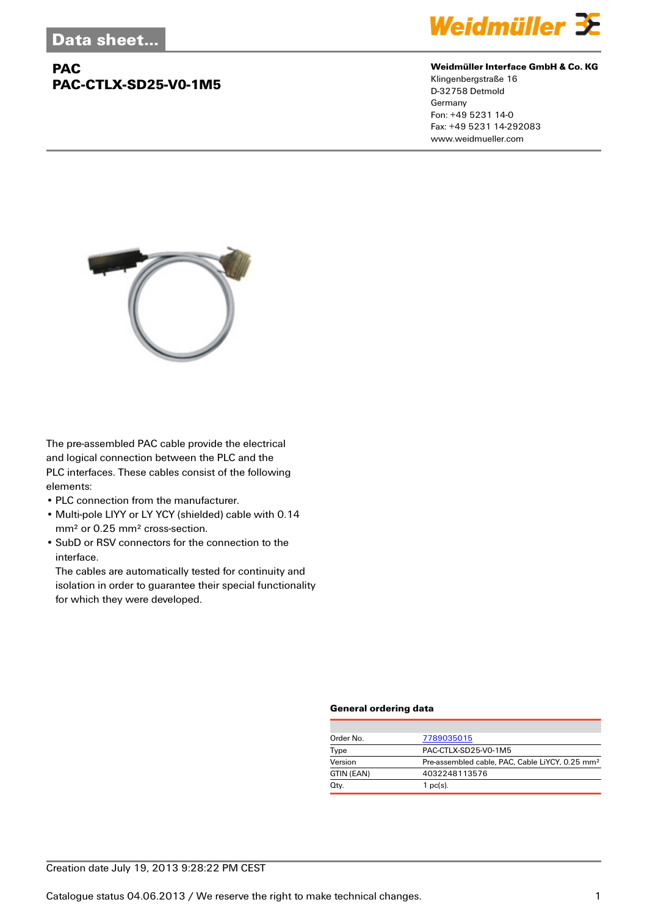## **PAC PAC-CTLX-SD25-V0-1M5**



#### **Weidmüller Interface GmbH & Co. KG**

Klingenbergstraße 16 D-32758 Detmold Germany Fon: +49 5231 14-0 Fax: +49 5231 14-292083 www.weidmueller.com



The pre-assembled PAC cable provide the electrical and logical connection between the PLC and the PLC interfaces. These cables consist of the following elements:

- PLC connection from the manufacturer.
- Multi-pole LIYY or LY YCY (shielded) cable with 0.14 mm² or 0.25 mm² cross-section.
- SubD or RSV connectors for the connection to the interface.

The cables are automatically tested for continuity and isolation in order to guarantee their special functionality for which they were developed.

#### **General ordering data**

| Order No.  | 7789035015                                                  |  |  |
|------------|-------------------------------------------------------------|--|--|
| Type       | PAC-CTLX-SD25-V0-1M5                                        |  |  |
| Version    | Pre-assembled cable, PAC, Cable LiYCY, 0.25 mm <sup>2</sup> |  |  |
| GTIN (EAN) | 4032248113576                                               |  |  |
| Qty.       | $1$ pc(s).                                                  |  |  |